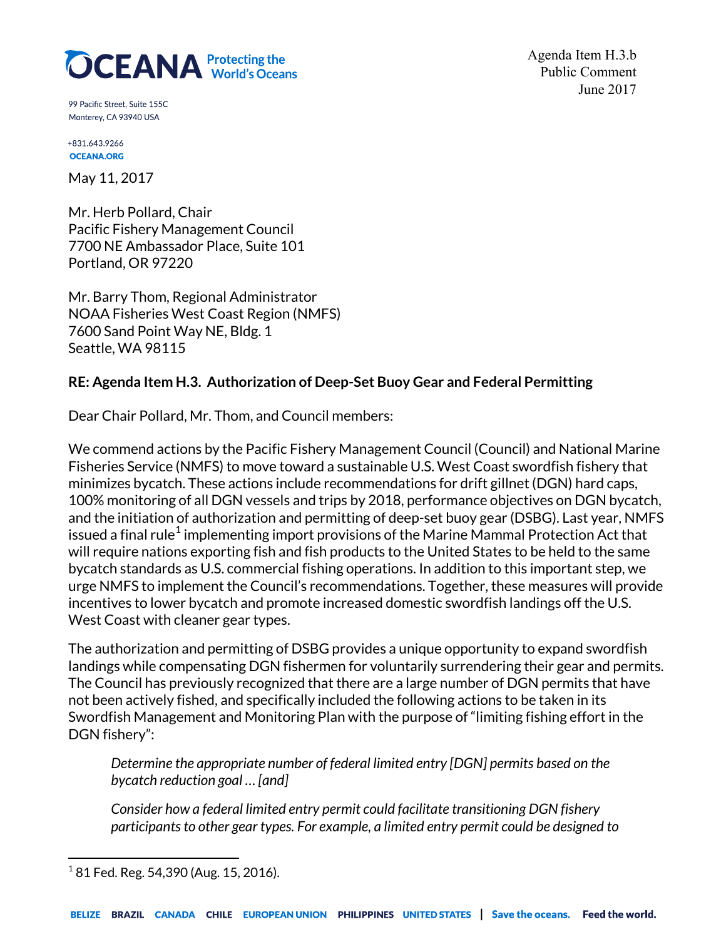# **OCEANA** Protecting the

Agenda Item H.3.b Public Comment June 2017

99 Pacific Street. Suite 155C Monterey, CA 93940 USA

+831.643.9266 **OCEANA.ORG** 

May 11, 2017

Mr. Herb Pollard, Chair Pacific Fishery Management Council 7700 NE Ambassador Place, Suite 101 Portland, OR 97220

Mr. Barry Thom, Regional Administrator NOAA Fisheries West Coast Region (NMFS) 7600 Sand Point Way NE, Bldg. 1 Seattle, WA 98115

# **RE: Agenda Item H.3. Authorization of Deep-Set Buoy Gear and Federal Permitting**

Dear Chair Pollard, Mr. Thom, and Council members:

We commend actions by the Pacific Fishery Management Council (Council) and National Marine Fisheries Service (NMFS) to move toward a sustainable U.S. West Coast swordfish fishery that minimizes bycatch. These actions include recommendations for drift gillnet (DGN) hard caps, 100% monitoring of all DGN vessels and trips by 2018, performance objectives on DGN bycatch, and the initiation of authorization and permitting of deep-set buoy gear (DSBG). Last year, NMFS issued a final rule<sup>[1](#page-0-0)</sup> implementing import provisions of the Marine Mammal Protection Act that will require nations exporting fish and fish products to the United States to be held to the same bycatch standards as U.S. commercial fishing operations. In addition to this important step, we urge NMFS to implement the Council's recommendations. Together, these measures will provide incentives to lower bycatch and promote increased domestic swordfish landings off the U.S. West Coast with cleaner gear types.

The authorization and permitting of DSBG provides a unique opportunity to expand swordfish landings while compensating DGN fishermen for voluntarily surrendering their gear and permits. The Council has previously recognized that there are a large number of DGN permits that have not been actively fished, and specifically included the following actions to be taken in its Swordfish Management and Monitoring Plan with the purpose of "limiting fishing effort in the DGN fishery":

*Determine the appropriate number of federal limited entry [DGN] permits based on the bycatch reduction goal … [and]*

*Consider how a federal limited entry permit could facilitate transitioning DGN fishery participants to other gear types. For example, a limited entry permit could be designed to* 

<span id="page-0-0"></span> $1$  81 Fed. Reg. 54,390 (Aug. 15, 2016).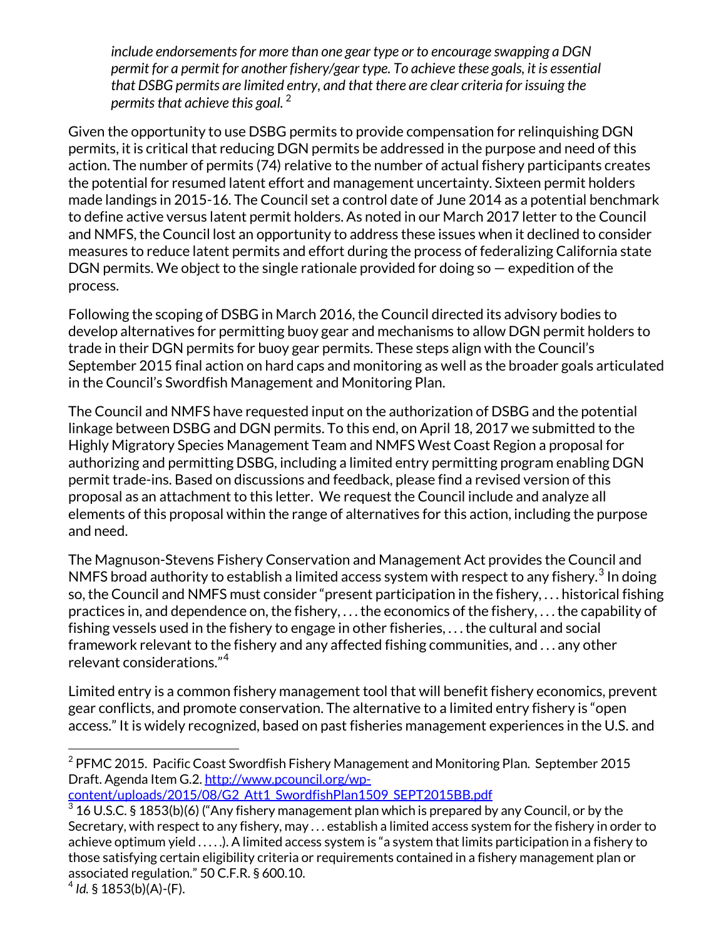*include endorsements for more than one gear type or to encourage swapping a DGN permit for a permit for another fishery/gear type. To achieve these goals, it is essential that DSBG permits are limited entry, and that there are clear criteria for issuing the permits that achieve this goal.* [2](#page-1-0)

Given the opportunity to use DSBG permits to provide compensation for relinquishing DGN permits, it is critical that reducing DGN permits be addressed in the purpose and need of this action. The number of permits (74) relative to the number of actual fishery participants creates the potential for resumed latent effort and management uncertainty. Sixteen permit holders made landings in 2015-16. The Council set a control date of June 2014 as a potential benchmark to define active versus latent permit holders. As noted in our March 2017 letter to the Council and NMFS, the Council lost an opportunity to address these issues when it declined to consider measures to reduce latent permits and effort during the process of federalizing California state DGN permits. We object to the single rationale provided for doing so — expedition of the process.

Following the scoping of DSBG in March 2016, the Council directed its advisory bodies to develop alternatives for permitting buoy gear and mechanisms to allow DGN permit holders to trade in their DGN permits for buoy gear permits. These steps align with the Council's September 2015 final action on hard caps and monitoring as well as the broader goals articulated in the Council's Swordfish Management and Monitoring Plan.

The Council and NMFS have requested input on the authorization of DSBG and the potential linkage between DSBG and DGN permits. To this end, on April 18, 2017 we submitted to the Highly Migratory Species Management Team and NMFS West Coast Region a proposal for authorizing and permitting DSBG, including a limited entry permitting program enabling DGN permit trade-ins. Based on discussions and feedback, please find a revised version of this proposal as an attachment to this letter. We request the Council include and analyze all elements of this proposal within the range of alternatives for this action, including the purpose and need.

The Magnuson-Stevens Fishery Conservation and Management Act provides the Council and NMFS broad authority to establish a limited access system with respect to any fishery.<sup>[3](#page-1-1)</sup> In doing so, the Council and NMFS must consider "present participation in the fishery, . . . historical fishing practices in, and dependence on, the fishery, . . . the economics of the fishery, . . . the capability of fishing vessels used in the fishery to engage in other fisheries, . . . the cultural and social framework relevant to the fishery and any affected fishing communities, and . . . any other relevant considerations."[4](#page-1-2)

Limited entry is a common fishery management tool that will benefit fishery economics, prevent gear conflicts, and promote conservation. The alternative to a limited entry fishery is "open access." It is widely recognized, based on past fisheries management experiences in the U.S. and

[content/uploads/2015/08/G2\\_Att1\\_SwordfishPlan1509\\_SEPT2015BB.pdf](http://www.pcouncil.org/wp-content/uploads/2015/08/G2_Att1_SwordfishPlan1509_SEPT2015BB.pdf)

 $\overline{a}$ 

<span id="page-1-0"></span> $2$  PFMC 2015. Pacific Coast Swordfish Fishery Management and Monitoring Plan. September 2015 Draft. Agenda Item G.2[. http://www.pcouncil.org/wp-](http://www.pcouncil.org/wp-content/uploads/2015/08/G2_Att1_SwordfishPlan1509_SEPT2015BB.pdf)

<span id="page-1-1"></span> $^3$  16 U.S.C. § 1853(b)(6) ("Any fishery management plan which is prepared by any Council, or by the Secretary, with respect to any fishery, may . . . establish a limited access system for the fishery in order to achieve optimum yield . . . . .). A limited access system is "a system that limits participation in a fishery to those satisfying certain eligibility criteria or requirements contained in a fishery management plan or associated regulation." 50 C.F.R. § 600.10.

<span id="page-1-2"></span> $4$  *Id.* § 1853(b)(A)-(F).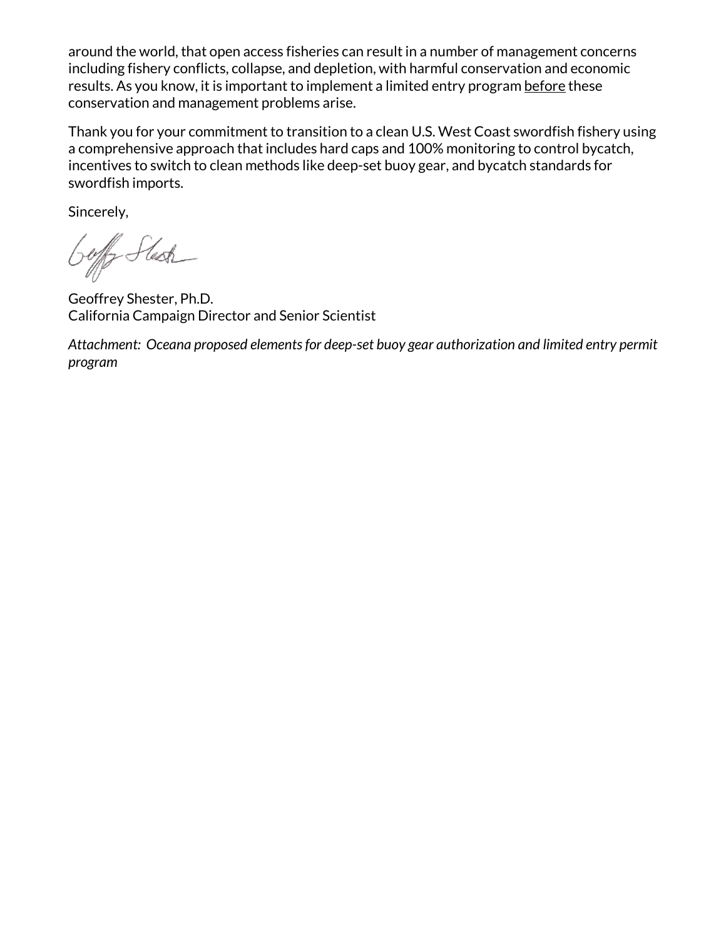around the world, that open access fisheries can result in a number of management concerns including fishery conflicts, collapse, and depletion, with harmful conservation and economic results. As you know, it is important to implement a limited entry program before these conservation and management problems arise.

Thank you for your commitment to transition to a clean U.S. West Coast swordfish fishery using a comprehensive approach that includes hard caps and 100% monitoring to control bycatch, incentives to switch to clean methods like deep-set buoy gear, and bycatch standards for swordfish imports.

Sincerely,

Goff Stesh

Geoffrey Shester, Ph.D. California Campaign Director and Senior Scientist

*Attachment: Oceana proposed elements for deep-set buoy gear authorization and limited entry permit program*